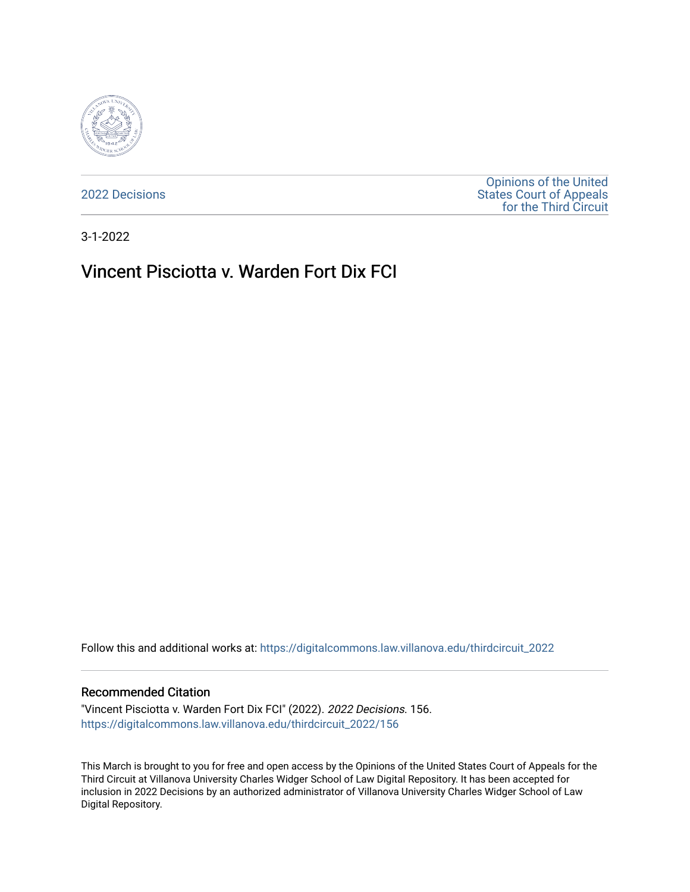

[2022 Decisions](https://digitalcommons.law.villanova.edu/thirdcircuit_2022)

[Opinions of the United](https://digitalcommons.law.villanova.edu/thirdcircuit)  [States Court of Appeals](https://digitalcommons.law.villanova.edu/thirdcircuit)  [for the Third Circuit](https://digitalcommons.law.villanova.edu/thirdcircuit) 

3-1-2022

# Vincent Pisciotta v. Warden Fort Dix FCI

Follow this and additional works at: [https://digitalcommons.law.villanova.edu/thirdcircuit\\_2022](https://digitalcommons.law.villanova.edu/thirdcircuit_2022?utm_source=digitalcommons.law.villanova.edu%2Fthirdcircuit_2022%2F156&utm_medium=PDF&utm_campaign=PDFCoverPages) 

### Recommended Citation

"Vincent Pisciotta v. Warden Fort Dix FCI" (2022). 2022 Decisions. 156. [https://digitalcommons.law.villanova.edu/thirdcircuit\\_2022/156](https://digitalcommons.law.villanova.edu/thirdcircuit_2022/156?utm_source=digitalcommons.law.villanova.edu%2Fthirdcircuit_2022%2F156&utm_medium=PDF&utm_campaign=PDFCoverPages)

This March is brought to you for free and open access by the Opinions of the United States Court of Appeals for the Third Circuit at Villanova University Charles Widger School of Law Digital Repository. It has been accepted for inclusion in 2022 Decisions by an authorized administrator of Villanova University Charles Widger School of Law Digital Repository.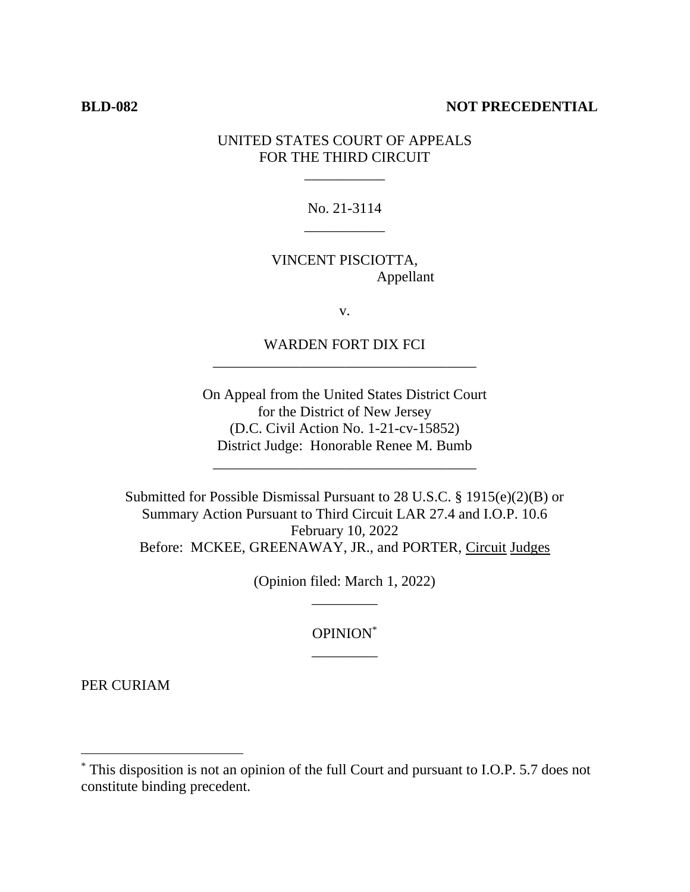# **BLD-082 NOT PRECEDENTIAL**

# UNITED STATES COURT OF APPEALS FOR THE THIRD CIRCUIT

\_\_\_\_\_\_\_\_\_\_\_

No. 21-3114 \_\_\_\_\_\_\_\_\_\_\_

VINCENT PISCIOTTA, Appellant

v.

WARDEN FORT DIX FCI \_\_\_\_\_\_\_\_\_\_\_\_\_\_\_\_\_\_\_\_\_\_\_\_\_\_\_\_\_\_\_\_\_\_\_\_

On Appeal from the United States District Court for the District of New Jersey (D.C. Civil Action No. 1-21-cv-15852) District Judge: Honorable Renee M. Bumb

\_\_\_\_\_\_\_\_\_\_\_\_\_\_\_\_\_\_\_\_\_\_\_\_\_\_\_\_\_\_\_\_\_\_\_\_

Submitted for Possible Dismissal Pursuant to 28 U.S.C. § 1915(e)(2)(B) or Summary Action Pursuant to Third Circuit LAR 27.4 and I.O.P. 10.6 February 10, 2022 Before: MCKEE, GREENAWAY, JR., and PORTER, Circuit Judges

> (Opinion filed: March 1, 2022) \_\_\_\_\_\_\_\_\_

> > OPINION\* \_\_\_\_\_\_\_\_\_

PER CURIAM

<sup>\*</sup> This disposition is not an opinion of the full Court and pursuant to I.O.P. 5.7 does not constitute binding precedent.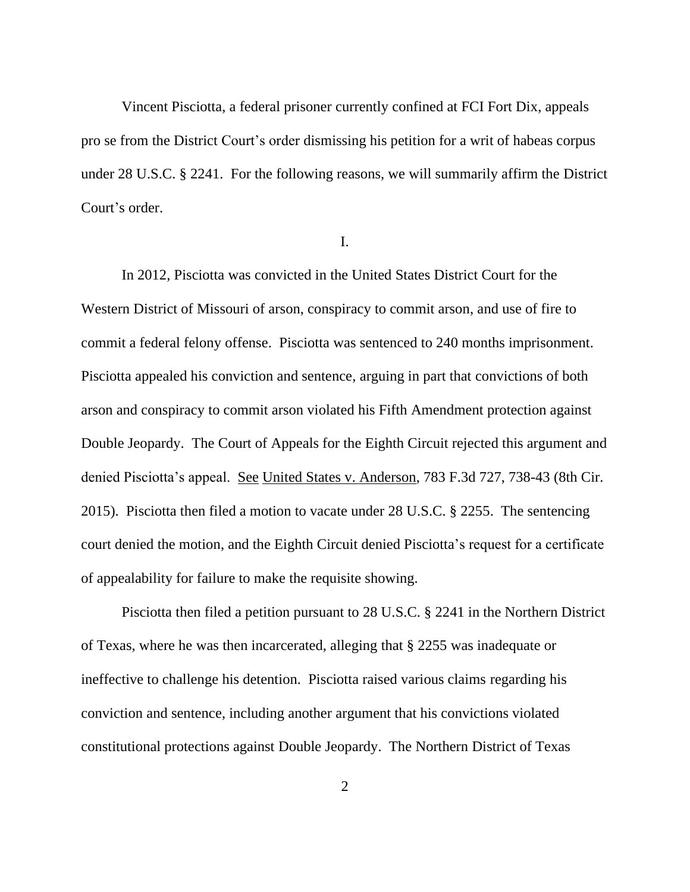Vincent Pisciotta, a federal prisoner currently confined at FCI Fort Dix, appeals pro se from the District Court's order dismissing his petition for a writ of habeas corpus under 28 U.S.C. § 2241. For the following reasons, we will summarily affirm the District Court's order.

I.

In 2012, Pisciotta was convicted in the United States District Court for the Western District of Missouri of arson, conspiracy to commit arson, and use of fire to commit a federal felony offense. Pisciotta was sentenced to 240 months imprisonment. Pisciotta appealed his conviction and sentence, arguing in part that convictions of both arson and conspiracy to commit arson violated his Fifth Amendment protection against Double Jeopardy. The Court of Appeals for the Eighth Circuit rejected this argument and denied Pisciotta's appeal. See United States v. Anderson, 783 F.3d 727, 738-43 (8th Cir. 2015). Pisciotta then filed a motion to vacate under 28 U.S.C. § 2255. The sentencing court denied the motion, and the Eighth Circuit denied Pisciotta's request for a certificate of appealability for failure to make the requisite showing.

Pisciotta then filed a petition pursuant to 28 U.S.C. § 2241 in the Northern District of Texas, where he was then incarcerated, alleging that § 2255 was inadequate or ineffective to challenge his detention. Pisciotta raised various claims regarding his conviction and sentence, including another argument that his convictions violated constitutional protections against Double Jeopardy. The Northern District of Texas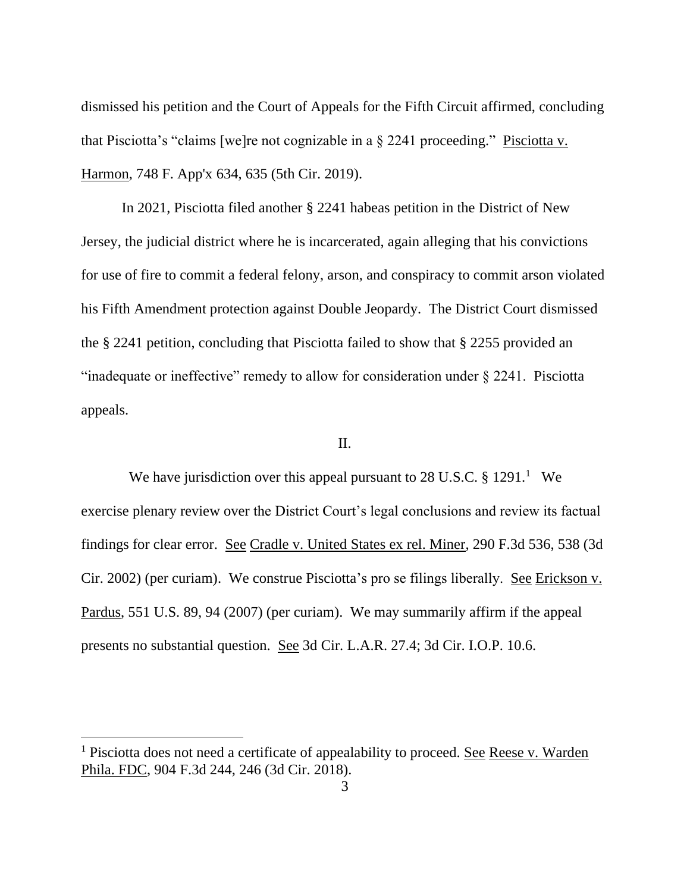dismissed his petition and the Court of Appeals for the Fifth Circuit affirmed, concluding that Pisciotta's "claims [we]re not cognizable in a § 2241 proceeding." Pisciotta v. Harmon, 748 F. App'x 634, 635 (5th Cir. 2019).

In 2021, Pisciotta filed another § 2241 habeas petition in the District of New Jersey, the judicial district where he is incarcerated, again alleging that his convictions for use of fire to commit a federal felony, arson, and conspiracy to commit arson violated his Fifth Amendment protection against Double Jeopardy. The District Court dismissed the § 2241 petition, concluding that Pisciotta failed to show that § 2255 provided an "inadequate or ineffective" remedy to allow for consideration under § 2241. Pisciotta appeals.

## II.

We have jurisdiction over this appeal pursuant to  $28$  U.S.C. §  $1291<sup>1</sup>$  We exercise plenary review over the District Court's legal conclusions and review its factual findings for clear error. See Cradle v. United States ex rel. Miner, 290 F.3d 536, 538 (3d Cir. 2002) (per curiam). We construe Pisciotta's pro se filings liberally. See Erickson v. Pardus, 551 U.S. 89, 94 (2007) (per curiam). We may summarily affirm if the appeal presents no substantial question. See 3d Cir. L.A.R. 27.4; 3d Cir. I.O.P. 10.6.

<sup>&</sup>lt;sup>1</sup> Pisciotta does not need a certificate of appealability to proceed. See Reese v. Warden Phila. FDC, 904 F.3d 244, 246 (3d Cir. 2018).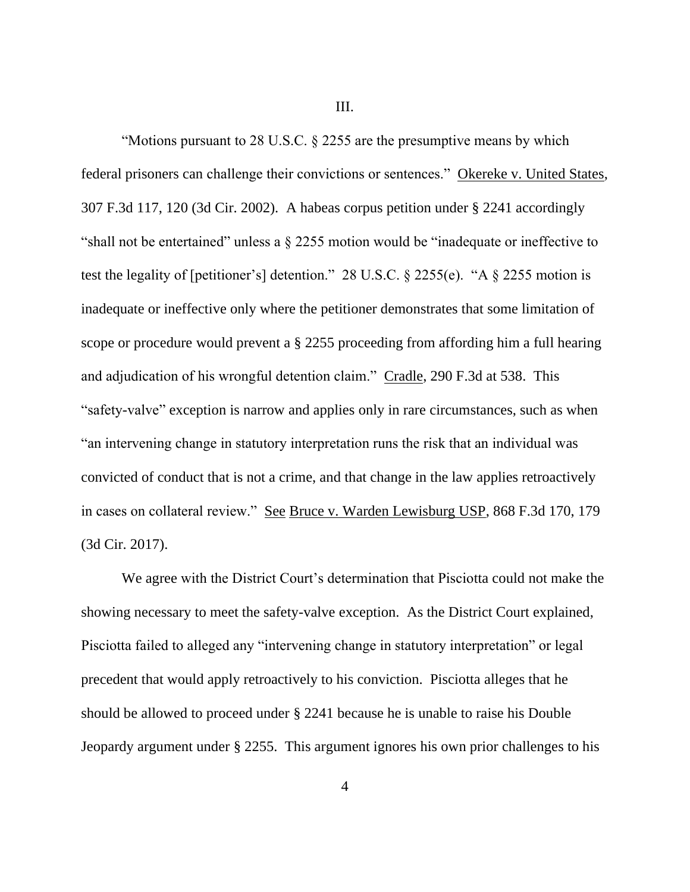III.

"Motions pursuant to 28 U.S.C. § 2255 are the presumptive means by which federal prisoners can challenge their convictions or sentences." Okereke v. United States, 307 F.3d 117, 120 (3d Cir. 2002). A habeas corpus petition under § 2241 accordingly "shall not be entertained" unless a § 2255 motion would be "inadequate or ineffective to test the legality of [petitioner's] detention." 28 U.S.C. § 2255(e). "A § 2255 motion is inadequate or ineffective only where the petitioner demonstrates that some limitation of scope or procedure would prevent a § 2255 proceeding from affording him a full hearing and adjudication of his wrongful detention claim." Cradle, 290 F.3d at 538. This "safety-valve" exception is narrow and applies only in rare circumstances, such as when "an intervening change in statutory interpretation runs the risk that an individual was convicted of conduct that is not a crime, and that change in the law applies retroactively in cases on collateral review." See Bruce v. Warden Lewisburg USP, 868 F.3d 170, 179 (3d Cir. 2017).

We agree with the District Court's determination that Pisciotta could not make the showing necessary to meet the safety-valve exception. As the District Court explained, Pisciotta failed to alleged any "intervening change in statutory interpretation" or legal precedent that would apply retroactively to his conviction. Pisciotta alleges that he should be allowed to proceed under § 2241 because he is unable to raise his Double Jeopardy argument under § 2255. This argument ignores his own prior challenges to his